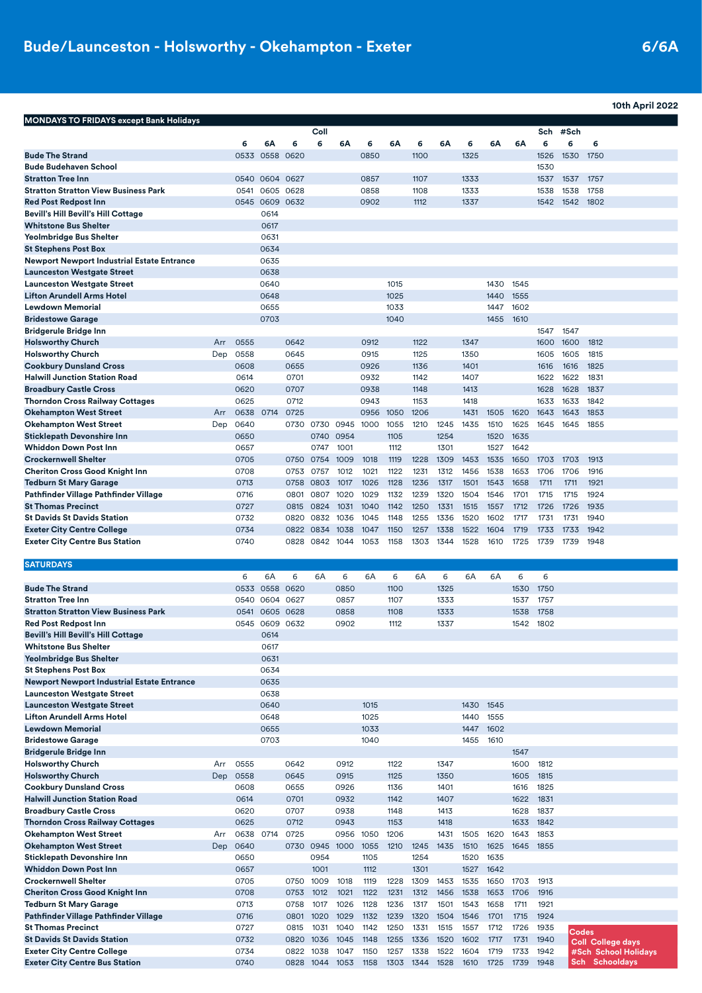|                                                                         |     |              |           |              |           |      |              |      |              |      |              |      |      |              |              |              | 10th April 2022 |
|-------------------------------------------------------------------------|-----|--------------|-----------|--------------|-----------|------|--------------|------|--------------|------|--------------|------|------|--------------|--------------|--------------|-----------------|
| <b>MONDAYS TO FRIDAYS except Bank Holidays</b>                          |     |              |           |              |           |      |              |      |              |      |              |      |      |              |              |              |                 |
|                                                                         |     |              |           |              | Coll      |      |              |      |              |      |              |      |      | Sch          | #Sch         |              |                 |
|                                                                         |     | 6            | 6A        | 6            | 6         | 6A   | 6            | 6A   | 6            | 6A   | 6            | 6А   | 6A   | 6            | 6            | 6            |                 |
| <b>Bude The Strand</b>                                                  |     | 0533         | 0558      | 0620         |           |      | 0850         |      | 1100         |      | 1325         |      |      | 1526         | 1530         | 1750         |                 |
| <b>Bude Budehaven School</b>                                            |     |              |           |              |           |      |              |      |              |      |              |      |      | 1530         |              |              |                 |
| <b>Stratton Tree Inn</b>                                                |     | 0540         | 0604      | 0627         |           |      | 0857         |      | 1107         |      | 1333         |      |      | 1537         | 1537         | 1757         |                 |
| <b>Stratton Stratton View Business Park</b>                             |     | 0541         | 0605      | 0628         |           |      | 0858         |      | 1108         |      | 1333         |      |      | 1538         | 1538         | 1758         |                 |
| <b>Red Post Redpost Inn</b>                                             |     |              | 0545 0609 | 0632         |           |      | 0902         |      | 1112         |      | 1337         |      |      | 1542         | 1542         | 1802         |                 |
| Bevill's Hill Bevill's Hill Cottage                                     |     |              | 0614      |              |           |      |              |      |              |      |              |      |      |              |              |              |                 |
| <b>Whitstone Bus Shelter</b>                                            |     |              | 0617      |              |           |      |              |      |              |      |              |      |      |              |              |              |                 |
| Yeolmbridge Bus Shelter                                                 |     |              | 0631      |              |           |      |              |      |              |      |              |      |      |              |              |              |                 |
| <b>St Stephens Post Box</b>                                             |     |              | 0634      |              |           |      |              |      |              |      |              |      |      |              |              |              |                 |
| <b>Newport Newport Industrial Estate Entrance</b>                       |     |              | 0635      |              |           |      |              |      |              |      |              |      |      |              |              |              |                 |
| <b>Launceston Westgate Street</b>                                       |     |              | 0638      |              |           |      |              |      |              |      |              |      |      |              |              |              |                 |
| <b>Launceston Westgate Street</b>                                       |     |              | 0640      |              |           |      |              | 1015 |              |      |              | 1430 | 1545 |              |              |              |                 |
| <b>Lifton Arundell Arms Hotel</b>                                       |     |              | 0648      |              |           |      |              | 1025 |              |      |              | 1440 | 1555 |              |              |              |                 |
| <b>Lewdown Memorial</b>                                                 |     |              | 0655      |              |           |      |              | 1033 |              |      |              | 1447 | 1602 |              |              |              |                 |
| <b>Bridestowe Garage</b>                                                |     |              | 0703      |              |           |      |              | 1040 |              |      |              | 1455 | 1610 |              |              |              |                 |
| <b>Bridgerule Bridge Inn</b>                                            |     |              |           |              |           |      |              |      |              |      |              |      |      | 1547         | 1547         |              |                 |
| <b>Holsworthy Church</b>                                                | Arr | 0555         |           | 0642         |           |      | 0912         |      | 1122         |      | 1347         |      |      | 1600         | 1600         | 1812         |                 |
| <b>Holsworthy Church</b>                                                | Dep | 0558         |           | 0645         |           |      | 0915         |      | 1125         |      | 1350         |      |      | 1605         | 1605         | 1815         |                 |
| <b>Cookbury Dunsland Cross</b>                                          |     | 0608         |           | 0655         |           |      | 0926         |      | 1136         |      | 1401         |      |      | 1616         | 1616         | 1825         |                 |
| <b>Halwill Junction Station Road</b>                                    |     | 0614         |           | 0701         |           |      | 0932         |      | 1142         |      | 1407         |      |      | 1622         | 1622         | 1831         |                 |
| <b>Broadbury Castle Cross</b>                                           |     | 0620<br>0625 |           | 0707         |           |      | 0938         |      | 1148<br>1153 |      | 1413         |      |      | 1628         | 1628         | 1837         |                 |
| <b>Thorndon Cross Railway Cottages</b><br><b>Okehampton West Street</b> | Arr | 0638 0714    |           | 0712<br>0725 |           |      | 0943<br>0956 | 1050 | 1206         |      | 1418<br>1431 | 1505 | 1620 | 1633<br>1643 | 1633<br>1643 | 1842<br>1853 |                 |
| <b>Okehampton West Street</b>                                           | Dep | 0640         |           | 0730         | 0730 0945 |      | 1000         | 1055 | 1210         | 1245 | 1435         | 1510 | 1625 | 1645         | 1645         | 1855         |                 |
| <b>Sticklepath Devonshire Inn</b>                                       |     | 0650         |           |              | 0740 0954 |      |              | 1105 |              | 1254 |              | 1520 | 1635 |              |              |              |                 |
| <b>Whiddon Down Post Inn</b>                                            |     | 0657         |           |              | 0747      | 1001 |              | 1112 |              | 1301 |              | 1527 | 1642 |              |              |              |                 |
| <b>Crockernwell Shelter</b>                                             |     | 0705         |           | 0750         | 0754      | 1009 | 1018         | 1119 | 1228         | 1309 | 1453         | 1535 | 1650 | 1703         | 1703         | 1913         |                 |
| <b>Cheriton Cross Good Knight Inn</b>                                   |     | 0708         |           | 0753         | 0757      | 1012 | 1021         | 1122 | 1231         | 1312 | 1456         | 1538 | 1653 | 1706         | 1706         | 1916         |                 |
| <b>Tedburn St Mary Garage</b>                                           |     | 0713         |           | 0758         | 0803      | 1017 | 1026         | 1128 | 1236         | 1317 | 1501         | 1543 | 1658 | 1711         | 1711         | 1921         |                 |
| Pathfinder Village Pathfinder Village                                   |     | 0716         |           | 0801         | 0807      | 1020 | 1029         | 1132 | 1239         | 1320 | 1504         | 1546 | 1701 | 1715         | 1715         | 1924         |                 |
| <b>St Thomas Precinct</b>                                               |     | 0727         |           | 0815         | 0824      | 1031 | 1040         | 1142 | 1250         | 1331 | 1515         | 1557 | 1712 | 1726         | 1726         | 1935         |                 |
| <b>St Davids St Davids Station</b>                                      |     | 0732         |           | 0820         | 0832      | 1036 | 1045         | 1148 | 1255         | 1336 | 1520         | 1602 | 1717 | 1731         | 1731         | 1940         |                 |
| <b>Exeter City Centre College</b>                                       |     | 0734         |           | 0822         | 0834      | 1038 | 1047         | 1150 | 1257         | 1338 | 1522         | 1604 | 1719 | 1733         | 1733         | 1942         |                 |
| <b>Exeter City Centre Bus Station</b>                                   |     | 0740         |           | 0828         | 0842      | 1044 | 1053         | 1158 | 1303         | 1344 | 1528         | 1610 | 1725 | 1739         | 1739         | 1948         |                 |
|                                                                         |     |              |           |              |           |      |              |      |              |      |              |      |      |              |              |              |                 |
| <b>SATURDAYS</b>                                                        |     |              |           |              |           |      |              |      |              |      |              |      |      |              |              |              |                 |
|                                                                         |     | 6            | 6A        | 6            | 6A        | 6    | 6A           | 6    | 6A           | 6    | 6A           | 6A   | 6    | 6            |              |              |                 |
| <b>Bude The Strand</b>                                                  |     | 0533         | 0558      | 0620         |           | 0850 |              | 1100 |              | 1325 |              |      | 1530 | 1750         |              |              |                 |
| <b>Stratton Tree Inn</b>                                                |     |              | 0540 0604 | 0627         |           | 0857 |              | 1107 |              | 1333 |              |      | 1537 | 1757         |              |              |                 |
| <b>Stratton Stratton View Business Park</b>                             |     | 0541         | 0605      | 0628         |           | 0858 |              | 1108 |              | 1333 |              |      | 1538 | 1758         |              |              |                 |
| <b>Red Post Redpost Inn</b>                                             |     |              | 0545 0609 | 0632         |           | 0902 |              | 1112 |              | 1337 |              |      | 1542 | 1802         |              |              |                 |
| <b>Bevill's Hill Bevill's Hill Cottage</b>                              |     |              | 0614      |              |           |      |              |      |              |      |              |      |      |              |              |              |                 |
| <b>Whitstone Bus Shelter</b>                                            |     |              | 0617      |              |           |      |              |      |              |      |              |      |      |              |              |              |                 |
| <b>Yeolmbridge Bus Shelter</b>                                          |     |              | 0631      |              |           |      |              |      |              |      |              |      |      |              |              |              |                 |
| <b>St Stephens Post Box</b>                                             |     |              | 0634      |              |           |      |              |      |              |      |              |      |      |              |              |              |                 |

| ot otophons riost box                             |     |      | ◡◡◡┭ |      |      |      |      |      |      |      |      |      |      |      |                       |
|---------------------------------------------------|-----|------|------|------|------|------|------|------|------|------|------|------|------|------|-----------------------|
| <b>Newport Newport Industrial Estate Entrance</b> |     |      | 0635 |      |      |      |      |      |      |      |      |      |      |      |                       |
| <b>Launceston Westgate Street</b>                 |     |      | 0638 |      |      |      |      |      |      |      |      |      |      |      |                       |
| <b>Launceston Westgate Street</b>                 |     |      | 0640 |      |      |      | 1015 |      |      |      | 1430 | 1545 |      |      |                       |
| <b>Lifton Arundell Arms Hotel</b>                 |     |      | 0648 |      |      |      | 1025 |      |      |      | 1440 | 1555 |      |      |                       |
| <b>Lewdown Memorial</b>                           |     |      | 0655 |      |      |      | 1033 |      |      |      | 1447 | 1602 |      |      |                       |
| <b>Bridestowe Garage</b>                          |     |      | 0703 |      |      |      | 1040 |      |      |      | 1455 | 1610 |      |      |                       |
| <b>Bridgerule Bridge Inn</b>                      |     |      |      |      |      |      |      |      |      |      |      |      | 1547 |      |                       |
| <b>Holsworthy Church</b>                          | Arr | 0555 |      | 0642 |      | 0912 |      | 1122 |      | 1347 |      |      | 1600 | 1812 |                       |
| <b>Holsworthy Church</b>                          | Dep | 0558 |      | 0645 |      | 0915 |      | 1125 |      | 1350 |      |      | 1605 | 1815 |                       |
| <b>Cookbury Dunsland Cross</b>                    |     | 0608 |      | 0655 |      | 0926 |      | 1136 |      | 1401 |      |      | 1616 | 1825 |                       |
| <b>Halwill Junction Station Road</b>              |     | 0614 |      | 0701 |      | 0932 |      | 1142 |      | 1407 |      |      | 1622 | 1831 |                       |
| <b>Broadbury Castle Cross</b>                     |     | 0620 |      | 0707 |      | 0938 |      | 1148 |      | 1413 |      |      | 1628 | 1837 |                       |
| <b>Thorndon Cross Railway Cottages</b>            |     | 0625 |      | 0712 |      | 0943 |      | 1153 |      | 1418 |      |      | 1633 | 1842 |                       |
| <b>Okehampton West Street</b>                     | Arr | 0638 | 0714 | 0725 |      | 0956 | 1050 | 1206 |      | 1431 | 1505 | 1620 | 1643 | 1853 |                       |
| <b>Okehampton West Street</b>                     | Dep | 0640 |      | 0730 | 0945 | 1000 | 1055 | 1210 | 1245 | 1435 | 1510 | 1625 | 1645 | 1855 |                       |
| <b>Sticklepath Devonshire Inn</b>                 |     | 0650 |      |      | 0954 |      | 1105 |      | 1254 |      | 1520 | 1635 |      |      |                       |
| <b>Whiddon Down Post Inn</b>                      |     | 0657 |      |      | 1001 |      | 1112 |      | 1301 |      | 1527 | 1642 |      |      |                       |
| <b>Crockernwell Shelter</b>                       |     | 0705 |      | 0750 | 1009 | 1018 | 1119 | 1228 | 1309 | 1453 | 1535 | 1650 | 1703 | 1913 |                       |
| <b>Cheriton Cross Good Knight Inn</b>             |     | 0708 |      | 0753 | 1012 | 1021 | 1122 | 1231 | 1312 | 1456 | 1538 | 1653 | 1706 | 1916 |                       |
| <b>Tedburn St Mary Garage</b>                     |     | 0713 |      | 0758 | 1017 | 1026 | 1128 | 1236 | 1317 | 1501 | 1543 | 1658 | 1711 | 1921 |                       |
| Pathfinder Village Pathfinder Village             |     | 0716 |      | 0801 | 1020 | 1029 | 1132 | 1239 | 1320 | 1504 | 1546 | 1701 | 1715 | 1924 |                       |
| <b>St Thomas Precinct</b>                         |     | 0727 |      | 0815 | 1031 | 1040 | 1142 | 1250 | 1331 | 1515 | 1557 | 1712 | 1726 | 1935 | Codes                 |
| <b>St Davids St Davids Station</b>                |     | 0732 |      | 0820 | 1036 | 1045 | 1148 | 1255 | 1336 | 1520 | 1602 | 1717 | 1731 | 1940 | Coll College days     |
| <b>Exeter City Centre College</b>                 |     | 0734 |      | 0822 | 1038 | 1047 | 1150 | 1257 | 1338 | 1522 | 1604 | 1719 | 1733 | 1942 | #Sch School Holidays  |
| <b>Exeter City Centre Bus Station</b>             |     | 0740 |      | 0828 | 1044 | 1053 | 1158 | 1303 | 1344 | 1528 | 1610 | 1725 | 1739 | 1948 | <b>Sch Schooldays</b> |
|                                                   |     |      |      |      |      |      |      |      |      |      |      |      |      |      |                       |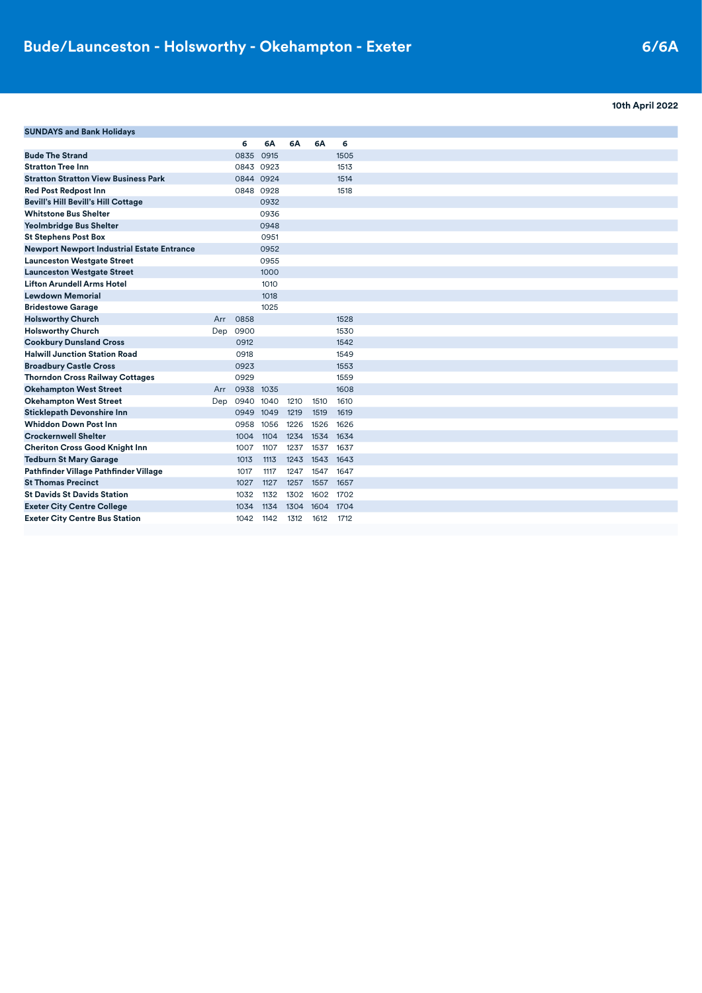## **10th April 2022**

| <b>SUNDAYS and Bank Holidays</b>                  |     |           |      |      |           |           |
|---------------------------------------------------|-----|-----------|------|------|-----------|-----------|
|                                                   |     | 6         | 6A   | 6A   | 6A        | 6         |
| <b>Bude The Strand</b>                            |     | 0835      | 0915 |      |           | 1505      |
| <b>Stratton Tree Inn</b>                          |     | 0843 0923 |      |      |           | 1513      |
| <b>Stratton Stratton View Business Park</b>       |     | 0844 0924 |      |      |           | 1514      |
| <b>Red Post Redpost Inn</b>                       |     | 0848 0928 |      |      |           | 1518      |
| <b>Bevill's Hill Bevill's Hill Cottage</b>        |     |           | 0932 |      |           |           |
| <b>Whitstone Bus Shelter</b>                      |     |           | 0936 |      |           |           |
| <b>Yeolmbridge Bus Shelter</b>                    |     |           | 0948 |      |           |           |
| <b>St Stephens Post Box</b>                       |     |           | 0951 |      |           |           |
| <b>Newport Newport Industrial Estate Entrance</b> |     |           | 0952 |      |           |           |
| <b>Launceston Westgate Street</b>                 |     |           | 0955 |      |           |           |
| <b>Launceston Westgate Street</b>                 |     |           | 1000 |      |           |           |
| <b>Lifton Arundell Arms Hotel</b>                 |     |           | 1010 |      |           |           |
| <b>Lewdown Memorial</b>                           |     |           | 1018 |      |           |           |
| <b>Bridestowe Garage</b>                          |     |           | 1025 |      |           |           |
| <b>Holsworthy Church</b>                          | Arr | 0858      |      |      |           | 1528      |
| <b>Holsworthy Church</b>                          | Dep | 0900      |      |      |           | 1530      |
| <b>Cookbury Dunsland Cross</b>                    |     | 0912      |      |      |           | 1542      |
| <b>Halwill Junction Station Road</b>              |     | 0918      |      |      |           | 1549      |
| <b>Broadbury Castle Cross</b>                     |     | 0923      |      |      |           | 1553      |
| <b>Thorndon Cross Railway Cottages</b>            |     | 0929      |      |      |           | 1559      |
| <b>Okehampton West Street</b>                     | Arr | 0938 1035 |      |      |           | 1608      |
| <b>Okehampton West Street</b>                     | Dep | 0940 1040 |      | 1210 | 1510      | 1610      |
| <b>Sticklepath Devonshire Inn</b>                 |     | 0949 1049 |      | 1219 | 1519      | 1619      |
| <b>Whiddon Down Post Inn</b>                      |     | 0958      | 1056 | 1226 | 1526      | 1626      |
| <b>Crockernwell Shelter</b>                       |     | 1004      | 1104 | 1234 |           | 1534 1634 |
| <b>Cheriton Cross Good Knight Inn</b>             |     | 1007      | 1107 | 1237 | 1537      | 1637      |
| <b>Tedburn St Mary Garage</b>                     |     | 1013      | 1113 | 1243 | 1543      | 1643      |
| Pathfinder Village Pathfinder Village             |     | 1017      | 1117 | 1247 | 1547      | 1647      |
| <b>St Thomas Precinct</b>                         |     | 1027      | 1127 | 1257 | 1557      | 1657      |
| <b>St Davids St Davids Station</b>                |     | 1032      | 1132 | 1302 | 1602      | 1702      |
| <b>Exeter City Centre College</b>                 |     | 1034      | 1134 | 1304 | 1604 1704 |           |
| <b>Exeter City Centre Bus Station</b>             |     | 1042      | 1142 | 1312 | 1612      | 1712      |
|                                                   |     |           |      |      |           |           |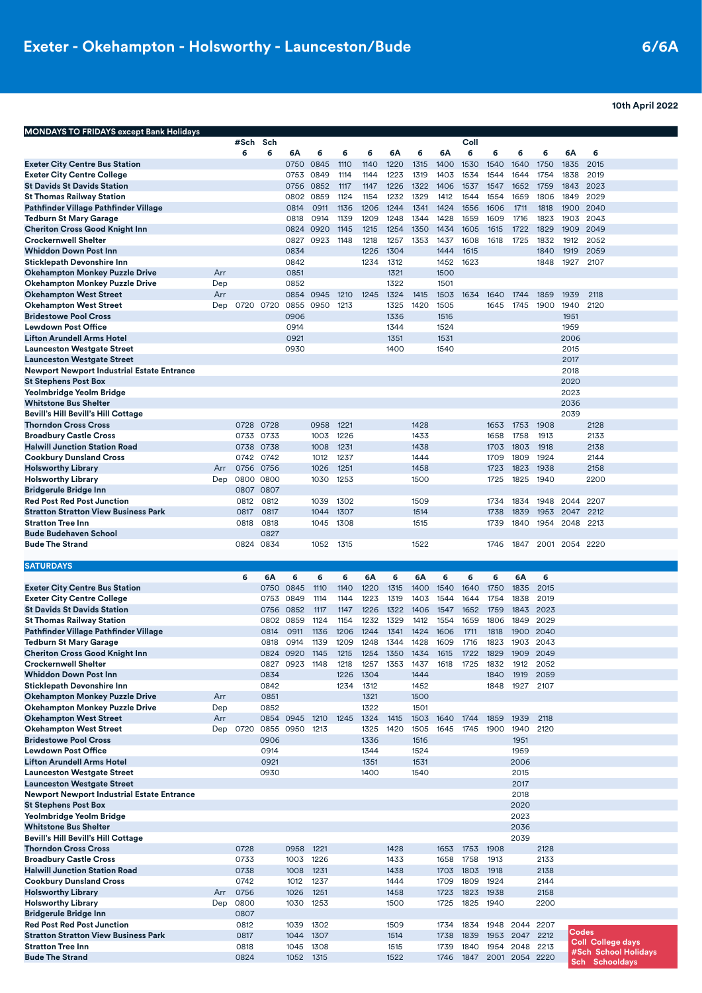**10th April 2022**

|                                                                           |            | #Sch         | Sch          |                   |              |              |              |              |              |              | Coll         |              |                             |              |              |                                               |
|---------------------------------------------------------------------------|------------|--------------|--------------|-------------------|--------------|--------------|--------------|--------------|--------------|--------------|--------------|--------------|-----------------------------|--------------|--------------|-----------------------------------------------|
|                                                                           |            | 6            | 6            | 6А                | 6            | 6            | 6            | 6А           | 6            | 6A           | 6            | 6            | 6                           | 6            | 6A           | 6                                             |
| <b>Exeter City Centre Bus Station</b>                                     |            |              |              | 0750              | 0845         | 1110         | 1140         | 1220         | 1315         | 1400         | 1530         | 1540         | 1640                        | 1750         | 1835         | 2015                                          |
| <b>Exeter City Centre College</b>                                         |            |              |              | 0753              | 0849         | 1114         | 1144         | 1223         | 1319         | 1403         | 1534         | 1544         | 1644                        | 1754         | 1838         | 2019                                          |
| <b>St Davids St Davids Station</b><br><b>St Thomas Railway Station</b>    |            |              |              | 0756<br>0802 0859 | 0852         | 1117<br>1124 | 1147<br>1154 | 1226<br>1232 | 1322<br>1329 | 1406<br>1412 | 1537<br>1544 | 1547<br>1554 | 1652<br>1659                | 1759<br>1806 | 1843<br>1849 | 2023<br>2029                                  |
| Pathfinder Village Pathfinder Village                                     |            |              |              | 0814              | 0911         | 1136         | 1206         | 1244         | 1341         | 1424         | 1556         | 1606         | 1711                        | 1818         | 1900         | 2040                                          |
| <b>Tedburn St Mary Garage</b>                                             |            |              |              | 0818              | 0914         | 1139         | 1209         | 1248         | 1344         | 1428         | 1559         | 1609         | 1716                        | 1823         | 1903         | 2043                                          |
| <b>Cheriton Cross Good Knight Inn</b>                                     |            |              |              | 0824              | 0920         | 1145         | 1215         | 1254         | 1350         | 1434         | 1605         | 1615         | 1722                        | 1829         | 1909         | 2049                                          |
| <b>Crockernwell Shelter</b>                                               |            |              |              | 0827              | 0923         | 1148         | 1218         | 1257         | 1353         | 1437         | 1608         | 1618         | 1725                        | 1832         | 1912         | 2052                                          |
| <b>Whiddon Down Post Inn</b>                                              |            |              |              | 0834              |              |              | 1226         | 1304         |              | 1444         | 1615         |              |                             | 1840         | 1919         | 2059                                          |
| <b>Sticklepath Devonshire Inn</b>                                         |            |              |              | 0842              |              |              | 1234         | 1312         |              | 1452         | 1623         |              |                             | 1848         | 1927         | 2107                                          |
| <b>Okehampton Monkey Puzzle Drive</b>                                     | Arr        |              |              | 0851              |              |              |              | 1321         |              | 1500         |              |              |                             |              |              |                                               |
| <b>Okehampton Monkey Puzzle Drive</b>                                     | Dep        |              |              | 0852              |              |              |              | 1322         |              | 1501         |              |              |                             |              |              |                                               |
| <b>Okehampton West Street</b>                                             | Arr        |              |              | 0854              | 0945         | 1210         | 1245         | 1324         | 1415         | 1503         | 1634         | 1640         | 1744                        | 1859         | 1939         | 2118                                          |
| <b>Okehampton West Street</b><br><b>Bridestowe Pool Cross</b>             | Dep        |              | 0720 0720    | 0855              | 0950         | 1213         |              | 1325         | 1420         | 1505         |              | 1645         | 1745                        | 1900         | 1940         | 2120                                          |
| <b>Lewdown Post Office</b>                                                |            |              |              | 0906<br>0914      |              |              |              | 1336<br>1344 |              | 1516<br>1524 |              |              |                             |              | 1951<br>1959 |                                               |
| <b>Lifton Arundell Arms Hotel</b>                                         |            |              |              | 0921              |              |              |              | 1351         |              | 1531         |              |              |                             |              | 2006         |                                               |
| <b>Launceston Westgate Street</b>                                         |            |              |              | 0930              |              |              |              | 1400         |              | 1540         |              |              |                             |              | 2015         |                                               |
| <b>Launceston Westgate Street</b>                                         |            |              |              |                   |              |              |              |              |              |              |              |              |                             |              | 2017         |                                               |
| <b>Newport Newport Industrial Estate Entrance</b>                         |            |              |              |                   |              |              |              |              |              |              |              |              |                             |              | 2018         |                                               |
| <b>St Stephens Post Box</b>                                               |            |              |              |                   |              |              |              |              |              |              |              |              |                             |              | 2020         |                                               |
| Yeolmbridge Yeolm Bridge                                                  |            |              |              |                   |              |              |              |              |              |              |              |              |                             |              | 2023         |                                               |
| <b>Whitstone Bus Shelter</b>                                              |            |              |              |                   |              |              |              |              |              |              |              |              |                             |              | 2036         |                                               |
| <b>Bevill's Hill Bevill's Hill Cottage</b>                                |            |              |              |                   |              |              |              |              |              |              |              |              |                             |              | 2039         |                                               |
| <b>Thorndon Cross Cross</b>                                               |            | 0728         | 0728         |                   | 0958         | 1221         |              |              | 1428         |              |              | 1653         | 1753                        | 1908         |              | 2128                                          |
| <b>Broadbury Castle Cross</b>                                             |            | 0733         | 0733         |                   | 1003         | 1226         |              |              | 1433         |              |              | 1658         | 1758                        | 1913         |              | 2133                                          |
| <b>Halwill Junction Station Road</b>                                      |            | 0738         | 0738         |                   | 1008         | 1231         |              |              | 1438         |              |              | 1703         | 1803                        | 1918         |              | 2138                                          |
| <b>Cookbury Dunsland Cross</b>                                            |            | 0742         | 0742         |                   | 1012         | 1237         |              |              | 1444         |              |              | 1709         | 1809                        | 1924         |              | 2144                                          |
| <b>Holsworthy Library</b><br><b>Holsworthy Library</b>                    | Arr<br>Dep | 0756<br>0800 | 0756<br>0800 |                   | 1026<br>1030 | 1251<br>1253 |              |              | 1458<br>1500 |              |              | 1723         | 1823<br>1825                | 1938<br>1940 |              | 2158<br>2200                                  |
| <b>Bridgerule Bridge Inn</b>                                              |            | 0807         | 0807         |                   |              |              |              |              |              |              |              | 1725         |                             |              |              |                                               |
| <b>Red Post Red Post Junction</b>                                         |            | 0812         | 0812         |                   | 1039         | 1302         |              |              | 1509         |              |              | 1734         | 1834                        | 1948         | 2044         | 2207                                          |
| <b>Stratton Stratton View Business Park</b>                               |            | 0817         | 0817         |                   | 1044         | 1307         |              |              | 1514         |              |              | 1738         | 1839                        | 1953         | 2047         | 2212                                          |
| <b>Stratton Tree Inn</b>                                                  |            | 0818         | 0818         |                   | 1045         | 1308         |              |              | 1515         |              |              | 1739         | 1840                        | 1954         | 2048         | 2213                                          |
| <b>Bude Budehaven School</b>                                              |            |              | 0827         |                   |              |              |              |              |              |              |              |              |                             |              |              |                                               |
| <b>Bude The Strand</b>                                                    |            | 0824 0834    |              |                   | 1052         | 1315         |              |              | 1522         |              |              | 1746         | 1847                        | 2001         | 2054 2220    |                                               |
|                                                                           |            |              |              |                   |              |              |              |              |              |              |              |              |                             |              |              |                                               |
| <b>SATURDAYS</b>                                                          |            |              |              |                   |              |              |              |              |              |              |              |              |                             |              |              |                                               |
| <b>Exeter City Centre Bus Station</b>                                     |            | 6            | 6А<br>0750   | 6<br>0845         | 6<br>1110    | 6<br>1140    | 6A<br>1220   | 6<br>1315    | 6А<br>1400   | 6<br>1540    | 6<br>1640    | 6<br>1750    | 6А<br>1835                  | 6<br>2015    |              |                                               |
| <b>Exeter City Centre College</b>                                         |            |              |              |                   |              |              |              |              | 1403         | 1544         | 1644         | 1754         | 1838                        |              |              |                                               |
|                                                                           |            |              |              |                   |              |              |              |              |              |              |              |              |                             |              |              |                                               |
|                                                                           |            |              | 0753         | 0849              | 1114         | 1144         | 1223         | 1319         |              |              |              |              |                             | 2019         |              |                                               |
| <b>St Davids St Davids Station</b>                                        |            |              | 0756         | 0852<br>0802 0859 | 1117<br>1124 | 1147<br>1154 | 1226<br>1232 | 1322<br>1329 | 1406<br>1412 | 1547<br>1554 | 1652<br>1659 | 1759<br>1806 | 1843<br>1849                | 2023<br>2029 |              |                                               |
| <b>St Thomas Railway Station</b><br>Pathfinder Village Pathfinder Village |            |              | 0814         | 0911              | 1136         | 1206         | 1244         | 1341         | 1424         | 1606         | 1711         | 1818         | 1900                        | 2040         |              |                                               |
| <b>Tedburn St Mary Garage</b>                                             |            |              | 0818         | 0914              | 1139         | 1209         | 1248         | 1344         | 1428         | 1609         | 1716         | 1823         | 1903                        | 2043         |              |                                               |
| <b>Cheriton Cross Good Knight Inn</b>                                     |            |              | 0824         | 0920              | 1145         | 1215         | 1254         | 1350         | 1434         | 1615         | 1722         | 1829         | 1909                        | 2049         |              |                                               |
| <b>Crockernwell Shelter</b>                                               |            |              |              | 0827 0923 1148    |              | 1218         | 1257         | 1353         | 1437         | 1618         | 1725         | 1832         | 1912                        | 2052         |              |                                               |
| <b>Whiddon Down Post Inn</b>                                              |            |              | 0834         |                   |              | 1226         | 1304         |              | 1444         |              |              | 1840         | 1919                        | 2059         |              |                                               |
| <b>Sticklepath Devonshire Inn</b>                                         |            |              | 0842         |                   |              | 1234         | 1312         |              | 1452         |              |              | 1848         | 1927                        | 2107         |              |                                               |
| <b>Okehampton Monkey Puzzle Drive</b>                                     | Arr        |              | 0851         |                   |              |              | 1321         |              | 1500         |              |              |              |                             |              |              |                                               |
| <b>Okehampton Monkey Puzzle Drive</b>                                     | Dep        |              | 0852         |                   |              |              | 1322         |              | 1501         |              |              |              |                             |              |              |                                               |
| <b>Okehampton West Street</b>                                             | Arr        |              |              | 0854 0945         | 1210         | 1245         | 1324         | 1415         | 1503         | 1640         | 1744         | 1859         | 1939                        | 2118         |              |                                               |
| <b>Okehampton West Street</b>                                             | Dep        | 0720         | 0855 0950    |                   | 1213         |              | 1325         | 1420         | 1505         | 1645         | 1745         | 1900         | 1940                        | 2120         |              |                                               |
| <b>Bridestowe Pool Cross</b><br><b>Lewdown Post Office</b>                |            |              | 0906<br>0914 |                   |              |              | 1336<br>1344 |              | 1516<br>1524 |              |              |              | 1951<br>1959                |              |              |                                               |
| <b>Lifton Arundell Arms Hotel</b>                                         |            |              | 0921         |                   |              |              | 1351         |              | 1531         |              |              |              | 2006                        |              |              |                                               |
| <b>Launceston Westgate Street</b>                                         |            |              | 0930         |                   |              |              | 1400         |              | 1540         |              |              |              | 2015                        |              |              |                                               |
| <b>Launceston Westgate Street</b>                                         |            |              |              |                   |              |              |              |              |              |              |              |              | 2017                        |              |              |                                               |
| <b>Newport Newport Industrial Estate Entrance</b>                         |            |              |              |                   |              |              |              |              |              |              |              |              | 2018                        |              |              |                                               |
| <b>St Stephens Post Box</b>                                               |            |              |              |                   |              |              |              |              |              |              |              |              | 2020                        |              |              |                                               |
| Yeolmbridge Yeolm Bridge                                                  |            |              |              |                   |              |              |              |              |              |              |              |              | 2023                        |              |              |                                               |
| <b>Whitstone Bus Shelter</b>                                              |            |              |              |                   |              |              |              |              |              |              |              |              | 2036                        |              |              |                                               |
| <b>Bevill's Hill Bevill's Hill Cottage</b>                                |            |              |              |                   |              |              |              |              |              |              |              |              | 2039                        |              |              |                                               |
| <b>Thorndon Cross Cross</b>                                               |            | 0728         |              | 0958              | 1221         |              |              | 1428         |              | 1653         | 1753         | 1908         |                             | 2128         |              |                                               |
| <b>Broadbury Castle Cross</b><br><b>Halwill Junction Station Road</b>     |            | 0733<br>0738 |              | 1003<br>1008      | 1226<br>1231 |              |              | 1433<br>1438 |              | 1658<br>1703 | 1758<br>1803 | 1913<br>1918 |                             | 2133<br>2138 |              |                                               |
| <b>Cookbury Dunsland Cross</b>                                            |            | 0742         |              | 1012              | 1237         |              |              | 1444         |              | 1709         | 1809         | 1924         |                             | 2144         |              |                                               |
| <b>Holsworthy Library</b>                                                 | Arr        | 0756         |              | 1026              | 1251         |              |              | 1458         |              | 1723         | 1823         | 1938         |                             | 2158         |              |                                               |
| <b>Holsworthy Library</b>                                                 | Dep        | 0800         |              | 1030              | 1253         |              |              | 1500         |              | 1725         | 1825         | 1940         |                             | 2200         |              |                                               |
| <b>Bridgerule Bridge Inn</b>                                              |            | 0807         |              |                   |              |              |              |              |              |              |              |              |                             |              |              |                                               |
| <b>Red Post Red Post Junction</b>                                         |            | 0812         |              | 1039              | 1302         |              |              | 1509         |              | 1734         | 1834         | 1948         | 2044 2207                   |              |              |                                               |
| <b>Stratton Stratton View Business Park</b>                               |            | 0817         |              | 1044              | 1307         |              |              | 1514         |              | 1738         | 1839         | 1953         | 2047                        | 2212         | <b>Codes</b> | Coll College days                             |
| <b>Stratton Tree Inn</b><br><b>Bude The Strand</b>                        |            | 0818<br>0824 |              | 1045<br>1052 1315 | 1308         |              |              | 1515<br>1522 |              | 1739<br>1746 | 1840<br>1847 | 1954         | 2048 2213<br>2001 2054 2220 |              |              | #Sch School Holidays<br><b>Sch</b> Schooldays |